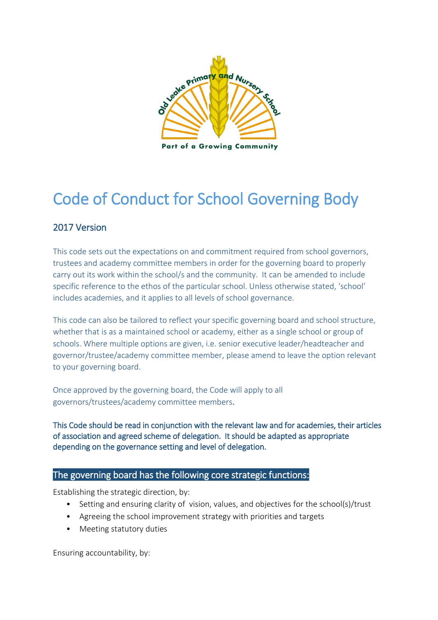

# Code of Conduct for School Governing Body

# 2017 Version

This code sets out the expectations on and commitment required from school governors, trustees and academy committee members in order for the governing board to properly carry out its work within the school/s and the community. It can be amended to include specific reference to the ethos of the particular school. Unless otherwise stated, 'school' includes academies, and it applies to all levels of school governance.

This code can also be tailored to reflect your specific governing board and school structure, whether that is as a maintained school or academy, either as a single school or group of schools. Where multiple options are given, i.e. senior executive leader/headteacher and governor/trustee/academy committee member, please amend to leave the option relevant to your governing board.

Once approved by the governing board, the Code will apply to all governors/trustees/academy committee members.

This Code should be read in conjunction with the relevant law and for academies, their articles of association and agreed scheme of delegation. It should be adapted as appropriate depending on the governance setting and level of delegation.

#### The governing board has the following core strategic functions:

Establishing the strategic direction, by:

- Setting and ensuring clarity of vision, values, and objectives for the school(s)/trust
- Agreeing the school improvement strategy with priorities and targets
- Meeting statutory duties

Ensuring accountability, by: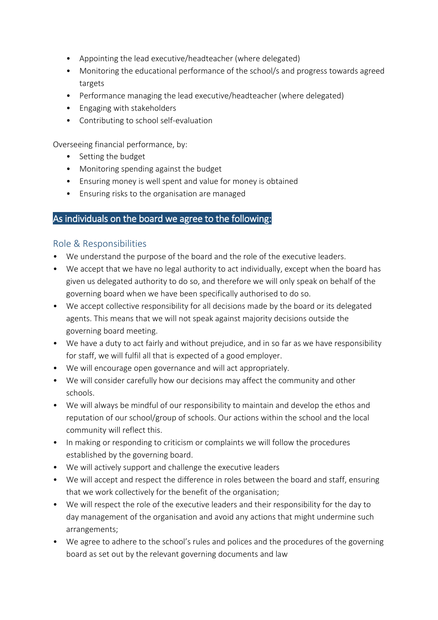- Appointing the lead executive/headteacher (where delegated)
- Monitoring the educational performance of the school/s and progress towards agreed targets
- Performance managing the lead executive/headteacher (where delegated)
- Engaging with stakeholders
- Contributing to school self-evaluation

Overseeing financial performance, by:

- Setting the budget
- Monitoring spending against the budget
- Ensuring money is well spent and value for money is obtained
- Ensuring risks to the organisation are managed

### As individuals on the board we agree to the following:

#### Role & Responsibilities

- We understand the purpose of the board and the role of the executive leaders.
- We accept that we have no legal authority to act individually, except when the board has given us delegated authority to do so, and therefore we will only speak on behalf of the governing board when we have been specifically authorised to do so.
- We accept collective responsibility for all decisions made by the board or its delegated agents. This means that we will not speak against majority decisions outside the governing board meeting.
- We have a duty to act fairly and without prejudice, and in so far as we have responsibility for staff, we will fulfil all that is expected of a good employer.
- We will encourage open governance and will act appropriately.
- We will consider carefully how our decisions may affect the community and other schools.
- We will always be mindful of our responsibility to maintain and develop the ethos and reputation of our school/group of schools. Our actions within the school and the local community will reflect this.
- In making or responding to criticism or complaints we will follow the procedures established by the governing board.
- We will actively support and challenge the executive leaders
- We will accept and respect the difference in roles between the board and staff, ensuring that we work collectively for the benefit of the organisation;
- We will respect the role of the executive leaders and their responsibility for the day to day management of the organisation and avoid any actions that might undermine such arrangements;
- We agree to adhere to the school's rules and polices and the procedures of the governing board as set out by the relevant governing documents and law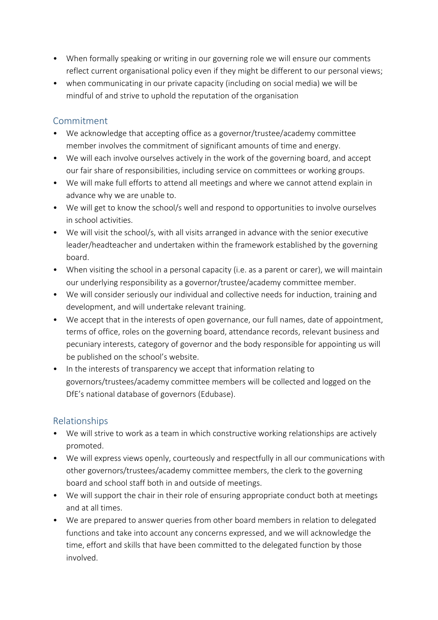- When formally speaking or writing in our governing role we will ensure our comments reflect current organisational policy even if they might be different to our personal views;
- when communicating in our private capacity (including on social media) we will be mindful of and strive to uphold the reputation of the organisation

# Commitment

- We acknowledge that accepting office as a governor/trustee/academy committee member involves the commitment of significant amounts of time and energy.
- We will each involve ourselves actively in the work of the governing board, and accept our fair share of responsibilities, including service on committees or working groups.
- We will make full efforts to attend all meetings and where we cannot attend explain in advance why we are unable to.
- We will get to know the school/s well and respond to opportunities to involve ourselves in school activities.
- We will visit the school/s, with all visits arranged in advance with the senior executive leader/headteacher and undertaken within the framework established by the governing board.
- When visiting the school in a personal capacity (i.e. as a parent or carer), we will maintain our underlying responsibility as a governor/trustee/academy committee member.
- We will consider seriously our individual and collective needs for induction, training and development, and will undertake relevant training.
- We accept that in the interests of open governance, our full names, date of appointment, terms of office, roles on the governing board, attendance records, relevant business and pecuniary interests, category of governor and the body responsible for appointing us will be published on the school's website.
- In the interests of transparency we accept that information relating to governors/trustees/academy committee members will be collected and logged on the DfE's national database of governors (Edubase).

# Relationships

- We will strive to work as a team in which constructive working relationships are actively promoted.
- We will express views openly, courteously and respectfully in all our communications with other governors/trustees/academy committee members, the clerk to the governing board and school staff both in and outside of meetings.
- We will support the chair in their role of ensuring appropriate conduct both at meetings and at all times.
- We are prepared to answer queries from other board members in relation to delegated functions and take into account any concerns expressed, and we will acknowledge the time, effort and skills that have been committed to the delegated function by those involved.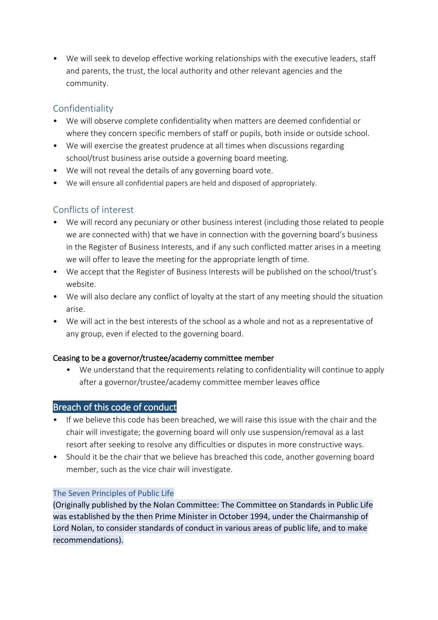• We will seek to develop effective working relationships with the executive leaders, staff and parents, the trust, the local authority and other relevant agencies and the community.

# Confidentiality

- We will observe complete confidentiality when matters are deemed confidential or where they concern specific members of staff or pupils, both inside or outside school.
- We will exercise the greatest prudence at all times when discussions regarding school/trust business arise outside a governing board meeting.
- We will not reveal the details of any governing board vote.
- We will ensure all confidential papers are held and disposed of appropriately.

# Conflicts of interest

- We will record any pecuniary or other business interest (including those related to people we are connected with) that we have in connection with the governing board's business in the Register of Business Interests, and if any such conflicted matter arises in a meeting we will offer to leave the meeting for the appropriate length of time.
- We accept that the Register of Business Interests will be published on the school/trust's website.
- We will also declare any conflict of loyalty at the start of any meeting should the situation arise.
- We will act in the best interests of the school as a whole and not as a representative of any group, even if elected to the governing board.

#### Ceasing to be a governor/trustee/academy committee member

• We understand that the requirements relating to confidentiality will continue to apply after a governor/trustee/academy committee member leaves office

# Breach of this code of conduct

- If we believe this code has been breached, we will raise this issue with the chair and the chair will investigate; the governing board will only use suspension/removal as a last resort after seeking to resolve any difficulties or disputes in more constructive ways.
- Should it be the chair that we believe has breached this code, another governing board member, such as the vice chair will investigate.

# The Seven Principles of Public Life

(Originally published by the Nolan Committee: The Committee on Standards in Public Life was established by the then Prime Minister in October 1994, under the Chairmanship of Lord Nolan, to consider standards of conduct in various areas of public life, and to make recommendations).